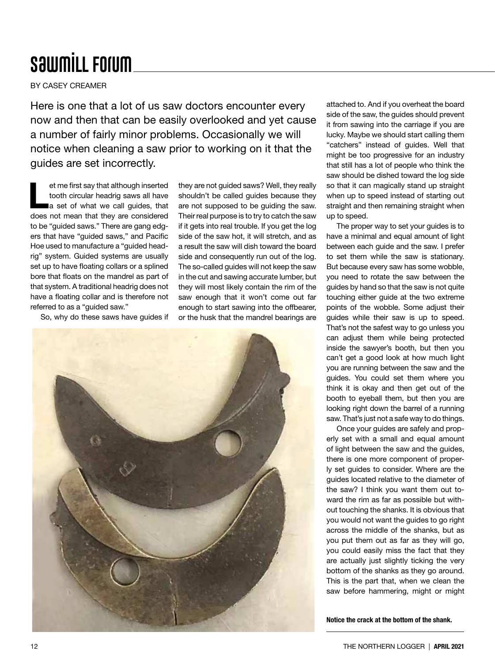## **SawmiLL Forum**

BY CASEY CREAMER

Here is one that a lot of us saw doctors encounter every now and then that can be easily overlooked and yet cause a number of fairly minor problems. Occasionally we will notice when cleaning a saw prior to working on it that the guides are set incorrectly.

et me first say that although inserted<br>tooth circular headrig saws all have<br>a set of what we call guides, that tooth circular headrig saws all have does not mean that they are considered to be "guided saws." There are gang edgers that have "guided saws," and Pacific Hoe used to manufacture a "guided headrig" system. Guided systems are usually set up to have floating collars or a splined bore that floats on the mandrel as part of that system. A traditional headrig does not have a floating collar and is therefore not referred to as a "guided saw."

So, why do these saws have guides if

they are not guided saws? Well, they really shouldn't be called guides because they are not supposed to be guiding the saw. Their real purpose is to try to catch the saw if it gets into real trouble. If you get the log side of the saw hot, it will stretch, and as a result the saw will dish toward the board side and consequently run out of the log. The so-called guides will not keep the saw in the cut and sawing accurate lumber, but they will most likely contain the rim of the saw enough that it won't come out far enough to start sawing into the offbearer, or the husk that the mandrel bearings are



attached to. And if you overheat the board side of the saw, the guides should prevent it from sawing into the carriage if you are lucky. Maybe we should start calling them "catchers" instead of guides. Well that might be too progressive for an industry that still has a lot of people who think the saw should be dished toward the log side so that it can magically stand up straight when up to speed instead of starting out straight and then remaining straight when up to speed.

The proper way to set your guides is to have a minimal and equal amount of light between each guide and the saw. I prefer to set them while the saw is stationary. But because every saw has some wobble, you need to rotate the saw between the guides by hand so that the saw is not quite touching either guide at the two extreme points of the wobble. Some adjust their guides while their saw is up to speed. That's not the safest way to go unless you can adjust them while being protected inside the sawyer's booth, but then you can't get a good look at how much light you are running between the saw and the guides. You could set them where you think it is okay and then get out of the booth to eyeball them, but then you are looking right down the barrel of a running saw. That's just not a safe way to do things.

Once your guides are safely and properly set with a small and equal amount of light between the saw and the guides, there is one more component of properly set guides to consider. Where are the guides located relative to the diameter of the saw? I think you want them out toward the rim as far as possible but without touching the shanks. It is obvious that you would not want the guides to go right across the middle of the shanks, but as you put them out as far as they will go, you could easily miss the fact that they are actually just slightly ticking the very bottom of the shanks as they go around. This is the part that, when we clean the saw before hammering, might or might

Notice the crack at the bottom of the shank.